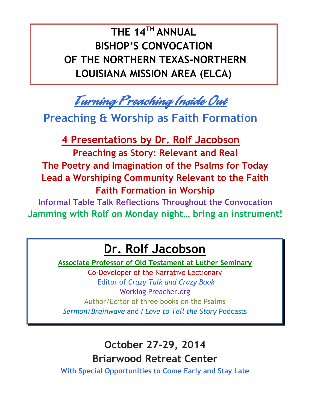d **THE 14TH ANNUAL BISHOP'S CONVOCATION OF THE NORTHERN TEXAS-NORTHERN LOUISIANA MISSION AREA (ELCA)**

Turning Preaching Inside Out

**Preaching & Worship as Faith Formation**

**4 Presentations by Dr. Rolf Jacobson Preaching as Story: Relevant and Real The Poetry and Imagination of the Psalms for Today Lead a Worshiping Community Relevant to the Faith Faith Formation in Worship**

**Informal Table Talk Reflections Throughout the Convocation Jamming with Rolf on Monday night… bring an instrument!**

## **Dr. Rolf Jacobson**

**Associate Professor of Old Testament at Luther Seminary**

Co-Developer of the Narrative Lectionary Editor of *Crazy Talk and Crazy Book* Working Preacher.org Author/Editor of three books on the Psalms *Sermon/Brainwave* and *I Love to Tell the Story* Podcasts

### **October 27-29, 2014 Briarwood Retreat Center**

**With Special Opportunities to Come Early and Stay Late**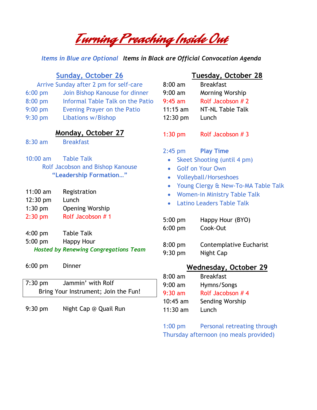# Turning Preaching Inside Out

*Items in Blue are Optional Items in Black are Official Convocation Agenda*

|  | dav. October 7 |  |
|--|----------------|--|
|  |                |  |

- Arrive Sunday after 2 pm for self-care
- 6:00 pm Join Bishop Kanouse for dinner
- 8:00 pm Informal Table Talk on the Patio
- 9:00 pm Evening Prayer on the Patio
- 9:30 pm Libations w/Bishop

#### **Monday, October 27**

8:30 am Breakfast

- 10:00 am Table Talk Rolf Jacobson and Bishop Kanouse **"Leadership Formation…"**
- 11:00 am Registration
- 12:30 pm Lunch
- 1:30 pm Opening Worship
- 2:30 pm Rolf Jacobson # 1
- 4:00 pm Table Talk
- 5:00 pm Happy Hour
- *Hosted by Renewing Congregations Team*
- 6:00 pm Dinner

| $7:30$ pm                            | Jammin' with Rolf |  |
|--------------------------------------|-------------------|--|
| Bring Your Instrument; Join the Fun! |                   |  |

9:30 pm Night Cap @ Quail Run

#### **Tuesday, October 28**

| $8:00$ am  | <b>Breakfast</b>       |
|------------|------------------------|
| $9:00$ am  | <b>Morning Worship</b> |
| $9:45$ am  | Rolf Jacobson # 2      |
| $11:15$ am | NT-NL Table Talk       |
| 12:30 pm   | Lunch                  |
|            |                        |

1:30 pm Rolf Jacobson # 3

- 2:45 pm **Play Time**
	- Skeet Shooting (until 4 pm)
	- Golf on Your Own
	- Volleyball/Horseshoes
	- Young Clergy & New-To-MA Table Talk
	- Women-in Ministry Table Talk
	- Latino Leaders Table Talk
- 5:00 pm Happy Hour (BYO) 6:00 pm Cook-Out
- 8:00 pm Contemplative Eucharist 9:30 pm Night Cap

#### **Wednesday, October 29**

| $8:00$ am  | <b>Breakfast</b> |
|------------|------------------|
| $9:00$ am  | Hymns/Songs      |
| $9:30$ am  | Rolf Jacobson #4 |
| $10:45$ am | Sending Worship  |
| $11:30$ am | Lunch            |

1:00 pm Personal retreating through Thursday afternoon (no meals provided)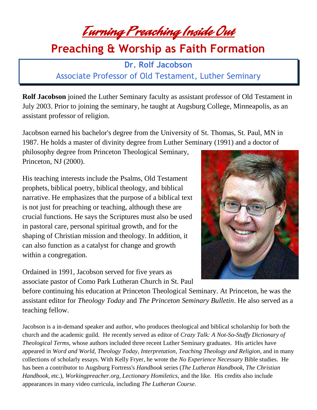Turning Preaching Inside Out

### **Preaching & Worship as Faith Formation**

**Dr. Rolf Jacobson** Associate Professor of Old Testament, Luther Seminary

**Rolf Jacobson** joined the Luther Seminary faculty as assistant professor of Old Testament in July 2003. Prior to joining the seminary, he taught at Augsburg College, Minneapolis, as an assistant professor of religion.

Jacobson earned his bachelor's degree from the University of St. Thomas, St. Paul, MN in 1987. He holds a master of divinity degree from Luther Seminary (1991) and a doctor of

philosophy degree from Princeton Theological Seminary, Princeton, NJ (2000).

His teaching interests include the Psalms, Old Testament prophets, biblical poetry, biblical theology, and biblical narrative. He emphasizes that the purpose of a biblical text is not just for preaching or teaching, although these are crucial functions. He says the Scriptures must also be used in pastoral care, personal spiritual growth, and for the shaping of Christian mission and theology. In addition, it can also function as a catalyst for change and growth within a congregation.

Ordained in 1991, Jacobson served for five years as associate pastor of Como Park Lutheran Church in St. Paul



before continuing his education at Princeton Theological Seminary. At Princeton, he was the assistant editor for *Theology Today* and *The Princeton Seminary Bulletin*. He also served as a teaching fellow.

Jacobson is a in-demand speaker and author, who produces theological and biblical scholarship for both the church and the academic guild. He recently served as editor of *Crazy Talk: A Not-So-Stuffy Dictionary of Theological Terms*, whose authors included three recent Luther Seminary graduates. His articles have appeared in *Word and World, Theology Today, Interpretation, Teaching Theology and Religion*, and in many collections of scholarly essays. With Kelly Fryer, he wrote the *No Experience Necessary* Bible studies. He has been a contributor to Augsburg Fortress's *Handbook* series (*The Lutheran Handbook, The Christian Handbook,* etc.), *Workingpreacher.org, Lectionary Homiletics*, and the like. His credits also include appearances in many video curricula, including *The Lutheran Course*.